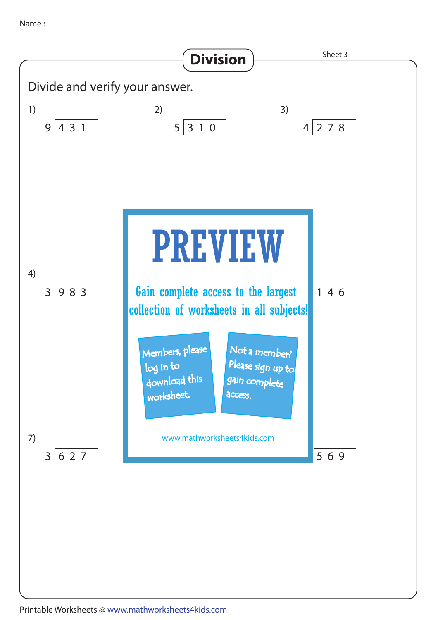